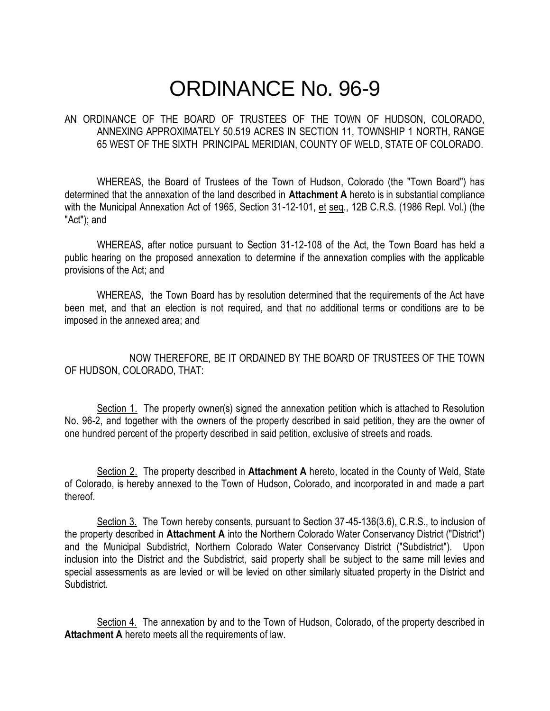# ORDINANCE No. 96-9

## AN ORDINANCE OF THE BOARD OF TRUSTEES OF THE TOWN OF HUDSON, COLORADO, ANNEXING APPROXIMATELY 50.519 ACRES IN SECTION 11, TOWNSHIP 1 NORTH, RANGE 65 WEST OF THE SIXTH PRINCIPAL MERIDIAN, COUNTY OF WELD, STATE OF COLORADO.

WHEREAS, the Board of Trustees of the Town of Hudson, Colorado (the "Town Board") has determined that the annexation of the land described in **Attachment A** hereto is in substantial compliance with the Municipal Annexation Act of 1965, Section 31-12-101, et seq., 12B C.R.S. (1986 Repl. Vol.) (the "Act"); and

WHEREAS, after notice pursuant to Section 31-12-108 of the Act, the Town Board has held a public hearing on the proposed annexation to determine if the annexation complies with the applicable provisions of the Act; and

WHEREAS, the Town Board has by resolution determined that the requirements of the Act have been met, and that an election is not required, and that no additional terms or conditions are to be imposed in the annexed area; and

NOW THEREFORE, BE IT ORDAINED BY THE BOARD OF TRUSTEES OF THE TOWN OF HUDSON, COLORADO, THAT:

Section 1. The property owner(s) signed the annexation petition which is attached to Resolution No. 96-2, and together with the owners of the property described in said petition, they are the owner of one hundred percent of the property described in said petition, exclusive of streets and roads.

Section 2. The property described in **Attachment A** hereto, located in the County of Weld, State of Colorado, is hereby annexed to the Town of Hudson, Colorado, and incorporated in and made a part thereof.

Section 3. The Town hereby consents, pursuant to Section 37-45-136(3.6), C.R.S., to inclusion of the property described in **Attachment A** into the Northern Colorado Water Conservancy District ("District") and the Municipal Subdistrict, Northern Colorado Water Conservancy District ("Subdistrict"). Upon inclusion into the District and the Subdistrict, said property shall be subject to the same mill levies and special assessments as are levied or will be levied on other similarly situated property in the District and **Subdistrict.** 

Section 4. The annexation by and to the Town of Hudson, Colorado, of the property described in **Attachment A** hereto meets all the requirements of law.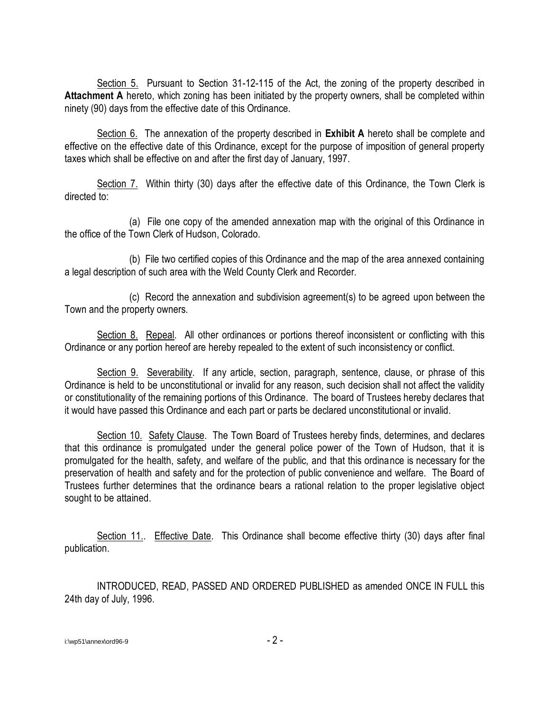Section 5. Pursuant to Section 31-12-115 of the Act, the zoning of the property described in **Attachment A** hereto, which zoning has been initiated by the property owners, shall be completed within ninety (90) days from the effective date of this Ordinance.

Section 6. The annexation of the property described in **Exhibit A** hereto shall be complete and effective on the effective date of this Ordinance, except for the purpose of imposition of general property taxes which shall be effective on and after the first day of January, 1997.

Section 7. Within thirty (30) days after the effective date of this Ordinance, the Town Clerk is directed to:

(a) File one copy of the amended annexation map with the original of this Ordinance in the office of the Town Clerk of Hudson, Colorado.

(b) File two certified copies of this Ordinance and the map of the area annexed containing a legal description of such area with the Weld County Clerk and Recorder.

(c) Record the annexation and subdivision agreement(s) to be agreed upon between the Town and the property owners.

Section 8. Repeal. All other ordinances or portions thereof inconsistent or conflicting with this Ordinance or any portion hereof are hereby repealed to the extent of such inconsistency or conflict.

Section 9. Severability. If any article, section, paragraph, sentence, clause, or phrase of this Ordinance is held to be unconstitutional or invalid for any reason, such decision shall not affect the validity or constitutionality of the remaining portions of this Ordinance. The board of Trustees hereby declares that it would have passed this Ordinance and each part or parts be declared unconstitutional or invalid.

Section 10. Safety Clause. The Town Board of Trustees hereby finds, determines, and declares that this ordinance is promulgated under the general police power of the Town of Hudson, that it is promulgated for the health, safety, and welfare of the public, and that this ordinance is necessary for the preservation of health and safety and for the protection of public convenience and welfare. The Board of Trustees further determines that the ordinance bears a rational relation to the proper legislative object sought to be attained.

Section 11.. Effective Date. This Ordinance shall become effective thirty (30) days after final publication.

INTRODUCED, READ, PASSED AND ORDERED PUBLISHED as amended ONCE IN FULL this 24th day of July, 1996.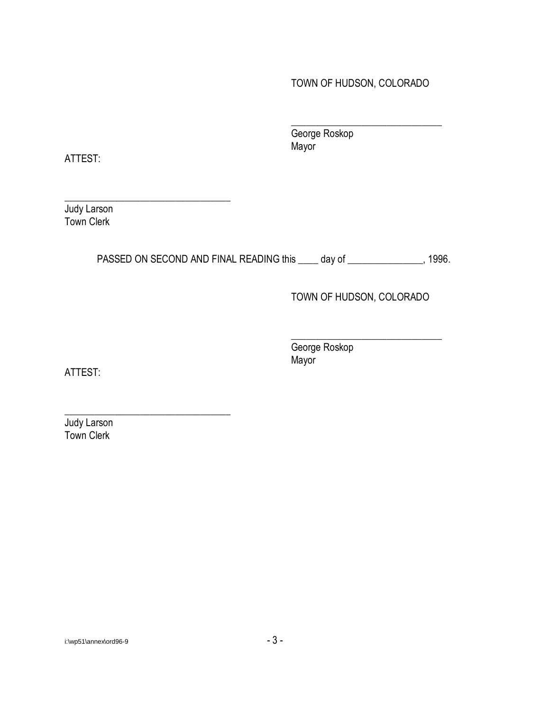TOWN OF HUDSON, COLORADO

\_\_\_\_\_\_\_\_\_\_\_\_\_\_\_\_\_\_\_\_\_\_\_\_\_\_\_\_\_\_

George Roskop Mayor

ATTEST:

Judy Larson Town Clerk

\_\_\_\_\_\_\_\_\_\_\_\_\_\_\_\_\_\_\_\_\_\_\_\_\_\_\_\_\_\_\_\_\_

\_\_\_\_\_\_\_\_\_\_\_\_\_\_\_\_\_\_\_\_\_\_\_\_\_\_\_\_\_\_\_\_\_

PASSED ON SECOND AND FINAL READING this \_\_\_\_ day of \_\_\_\_\_\_\_\_\_\_\_\_\_\_, 1996.

## TOWN OF HUDSON, COLORADO

\_\_\_\_\_\_\_\_\_\_\_\_\_\_\_\_\_\_\_\_\_\_\_\_\_\_\_\_\_\_ George Roskop Mayor

ATTEST:

Judy Larson Town Clerk